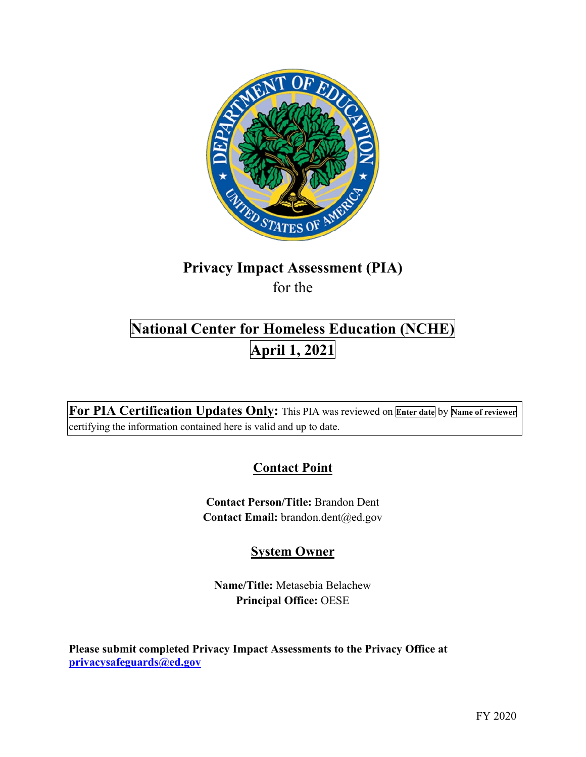

# **Privacy Impact Assessment (PIA)**

for the

# **National Center for Homeless Education (NCHE) April 1, 2021**

 **For PIA Certification Updates Only:** This PIA was reviewed on **Enter date** by **Name of reviewer**  certifying the information contained here is valid and up to date.

# **Contact Point**

**Contact Person/Title:** Brandon Dent Contact Email: brandon.dent@ed.gov

## **System Owner**

**Name/Title:** Metasebia Belachew **Principal Office:** OESE

 **[privacysafeguards@ed.gov](mailto:privacysafeguards@ed.gov) Please submit completed Privacy Impact Assessments to the Privacy Office at**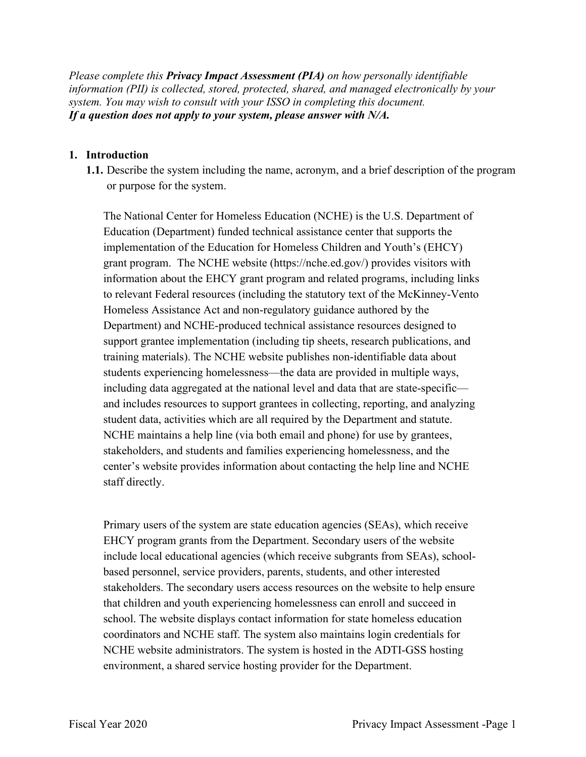*Please complete this Privacy Impact Assessment (PIA) on how personally identifiable information (PII) is collected, stored, protected, shared, and managed electronically by your system. You may wish to consult with your ISSO in completing this document. If a question does not apply to your system, please answer with N/A.* 

#### **1. Introduction**

 **1.1.** Describe the system including the name, acronym, and a brief description of the program or purpose for the system.

or purpose for the system.<br>The National Center for Homeless Education (NCHE) is the U.S. Department of Education (Department) funded technical assistance center that supports the implementation of the Education for Homeless Children and Youth's (EHCY) grant program. The NCHE website [\(https://nche.ed.gov/](https://nche.ed.gov)) provides visitors with information about the EHCY grant program and related programs, including links to relevant Federal resources (including the statutory text of the McKinney-Vento Homeless Assistance Act and non-regulatory guidance authored by the Department) and NCHE-produced technical assistance resources designed to support grantee implementation (including tip sheets, research publications, and training materials). The NCHE website publishes non-identifiable data about students experiencing homelessness—the data are provided in multiple ways, including data aggregated at the national level and data that are state-specific and includes resources to support grantees in collecting, reporting, and analyzing student data, activities which are all required by the Department and statute. NCHE maintains a help line (via both email and phone) for use by grantees, stakeholders, and students and families experiencing homelessness, and the center's website provides information about contacting the help line and NCHE staff directly.

 based personnel, service providers, parents, students, and other interested Primary users of the system are state education agencies (SEAs), which receive EHCY program grants from the Department. Secondary users of the website include local educational agencies (which receive subgrants from SEAs), schoolstakeholders. The secondary users access resources on the website to help ensure that children and youth experiencing homelessness can enroll and succeed in school. The website displays contact information for state homeless education coordinators and NCHE staff. The system also maintains login credentials for NCHE website administrators. The system is hosted in the ADTI-GSS hosting environment, a shared service hosting provider for the Department.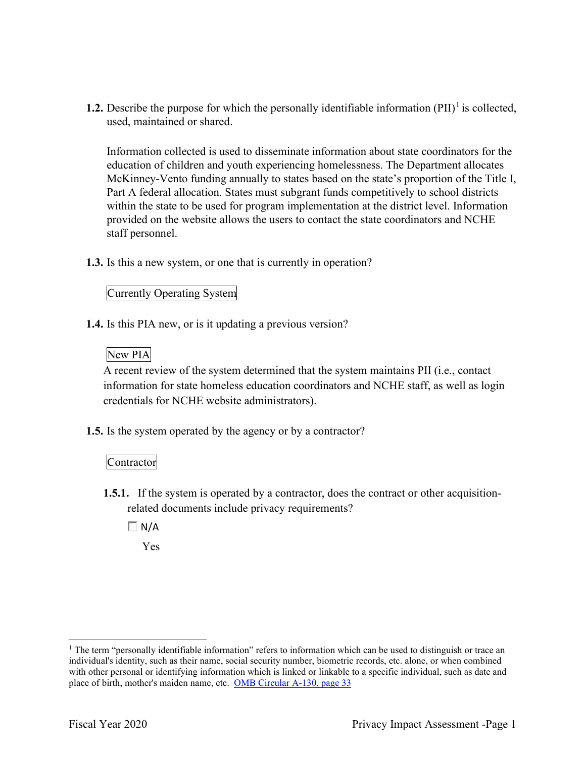**1.2.** Describe the purpose for which the personally identifiable information  $(PII)^{1}$  is collected, used, maintained or shared.

 education of children and youth experiencing homelessness. The Department allocates Information collected is used to disseminate information about state coordinators for the McKinney-Vento funding annually to states based on the state's proportion of the Title I, Part A federal allocation. States must subgrant funds competitively to school districts within the state to be used for program implementation at the district level. Information provided on the website allows the users to contact the state coordinators and NCHE staff personnel.

**1.3.** Is this a new system, or one that is currently in operation?

#### Currently Operating System

**1.4.** Is this PIA new, or is it updating a previous version?

### New PIA

 A recent review of the system determined that the system maintains PII (i.e., contact information for state homeless education coordinators and NCHE staff, as well as login credentials for NCHE website administrators).

**1.5.** Is the system operated by the agency or by a contractor?

#### Contractor

- **1.5.1.** If the system is operated by a contractor, does the contract or other acquisitionrelated documents include privacy requirements?
	- $\Box$  N/A

Yes

place of birth, mother's maiden name, etc. OMB Circular A-130, page 33 <sup>1</sup> The term "personally identifiable information" refers to information which can be used to distinguish or trace an individual's identity, such as their name, social security number, biometric records, etc. alone, or when combined with other personal or identifying information which is linked or linkable to a specific individual, such as date and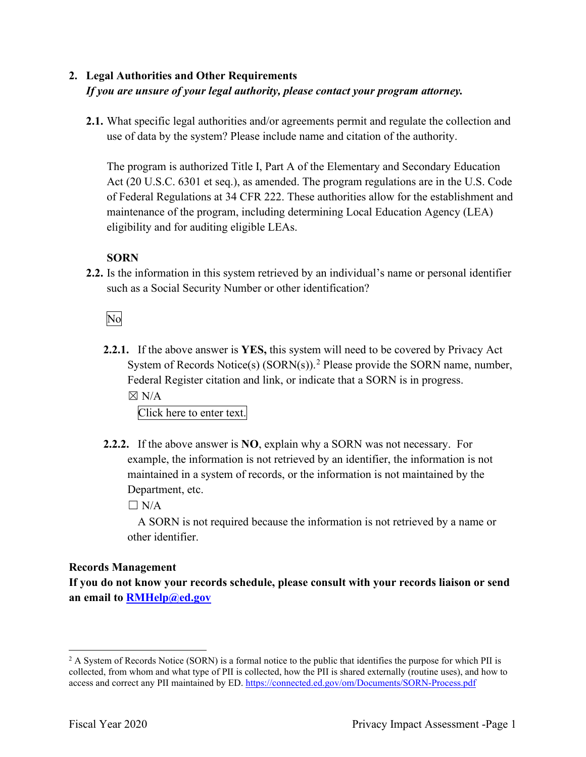## **2. Legal Authorities and Other Requirements**  *If you are unsure of your legal authority, please contact your program attorney.*

 use of data by the system? Please include name and citation of the authority. **2.1.** What specific legal authorities and/or agreements permit and regulate the collection and

The program is authorized Title I, Part A of the Elementary and Secondary Education Act (20 U.S.C. 6301 et seq.), as amended. The program regulations are in the U.S. Code of Federal Regulations at 34 CFR 222. These authorities allow for the establishment and maintenance of the program, including determining Local Education Agency (LEA) eligibility and for auditing eligible LEAs.

### **SORN**

such as a Social Security Number or other identification?<br>No **2.2.** Is the information in this system retrieved by an individual's name or personal identifier

 $\boxtimes$  N/A **2.2.1.** If the above answer is **YES,** this system will need to be covered by Privacy Act System of Records Notice(s)  $(SORN(s))$ .<sup>2</sup> Please provide the SORN name, number, Federal Register citation and link, or indicate that a SORN is in progress.

Click here to enter text.

 **2.2.2.** If the above answer is **NO**, explain why a SORN was not necessary. For Department, etc. example, the information is not retrieved by an identifier, the information is not maintained in a system of records, or the information is not maintained by the

 $\Box$  N/A

A SORN is not required because the information is not retrieved by a name or other identifier.

### **Records Management**

**If you do not know your records schedule, please consult with your records liaison or send an email to [RMHelp@ed.gov](mailto:RMHelp@ed.gov)** 

access and correct any PII maintained by ED. https://connected.ed.gov/om/Documents/SORN-Process.pdf<br>Fiscal Year 2020 Privacy Impact Assessment -Page 1  $2$  A System of Records Notice (SORN) is a formal notice to the public that identifies the purpose for which PII is collected, from whom and what type of PII is collected, how the PII is shared externally (routine uses), and how to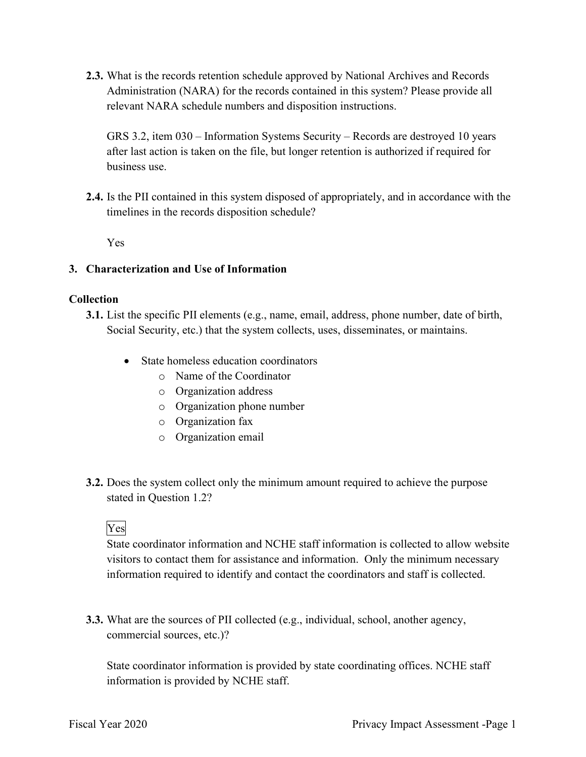**2.3.** What is the records retention schedule approved by National Archives and Records Administration (NARA) for the records contained in this system? Please provide all relevant NARA schedule numbers and disposition instructions.

GRS 3.2, item 030 – Information Systems Security – Records are destroyed 10 years after last action is taken on the file, but longer retention is authorized if required for business use.

**2.4.** Is the PII contained in this system disposed of appropriately, and in accordance with the timelines in the records disposition schedule?

Yes

#### **3. Characterization and Use of Information**

#### **Collection**

- **3.1.** List the specific PII elements (e.g., name, email, address, phone number, date of birth, Social Security, etc.) that the system collects, uses, disseminates, or maintains.
	- • State homeless education coordinators
		- o Name of the Coordinator
		- o Organization address
		- o Organization phone number
		- o Organization fax
		- o Organization email
- **3.2.** Does the system collect only the minimum amount required to achieve the purpose stated in Question 1.2?<br>Yes

 information required to identify and contact the coordinators and staff is collected. State coordinator information and NCHE staff information is collected to allow website visitors to contact them for assistance and information. Only the minimum necessary

**3.3.** What are the sources of PII collected (e.g., individual, school, another agency, commercial sources, etc.)?

State coordinator information is provided by state coordinating offices. NCHE staff information is provided by NCHE staff.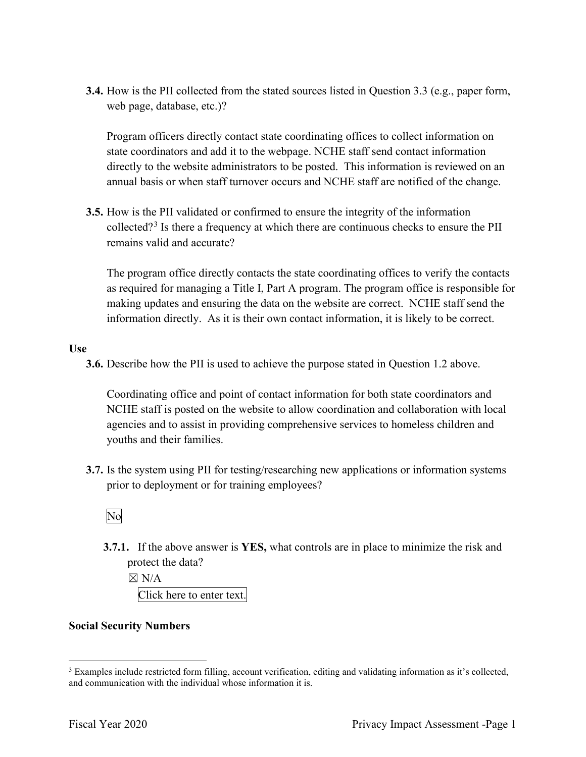**3.4.** How is the PII collected from the stated sources listed in Question 3.3 (e.g., paper form, web page, database, etc.)?

Program officers directly contact state coordinating offices to collect information on state coordinators and add it to the webpage. NCHE staff send contact information directly to the website administrators to be posted. This information is reviewed on an annual basis or when staff turnover occurs and NCHE staff are notified of the change.

**3.5.** How is the PII validated or confirmed to ensure the integrity of the information collected?<sup>3</sup> Is there a frequency at which there are continuous checks to ensure the PII remains valid and accurate?

 as required for managing a Title I, Part A program. The program office is responsible for making updates and ensuring the data on the website are correct. NCHE staff send the The program office directly contacts the state coordinating offices to verify the contacts information directly. As it is their own contact information, it is likely to be correct.

**Use** 

**3.6.** Describe how the PII is used to achieve the purpose stated in Question 1.2 above.

 agencies and to assist in providing comprehensive services to homeless children and Coordinating office and point of contact information for both state coordinators and NCHE staff is posted on the website to allow coordination and collaboration with local youths and their families.

 **3.7.** Is the system using PII for testing/researching new applications or information systems prior to deployment or for training employees?<br>No

**3.7.1.** If the above answer is **YES,** what controls are in place to minimize the risk and protect the data?

 $\boxtimes$  N/A Click here to enter text.

#### **Social Security Numbers**

and communication with the individual whose information it is. <sup>3</sup> Examples include restricted form filling, account verification, editing and validating information as it's collected, and communication with the individual whose information it is.<br>Fiscal Year 2020 Privacy Impact Assessment -Page 1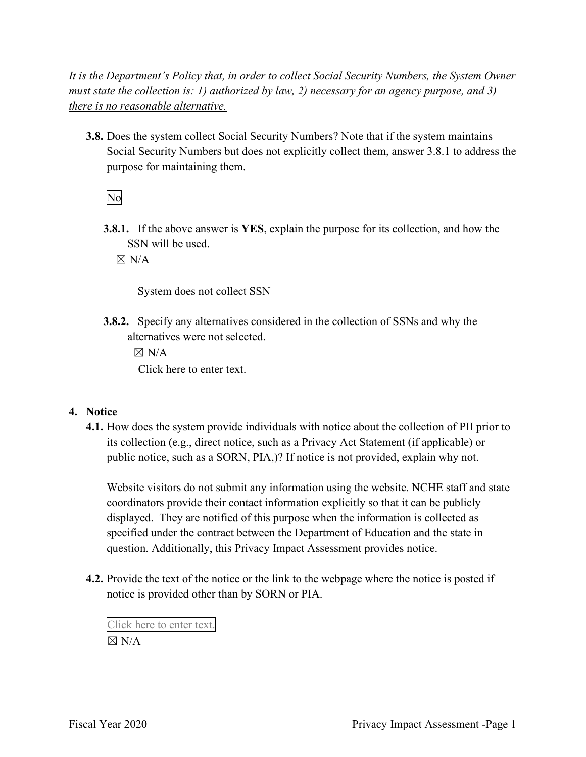*It is the Department's Policy that, in order to collect Social Security Numbers, the System Owner must state the collection is: 1) authorized by law, 2) necessary for an agency purpose, and 3) there is no reasonable alternative.* 

 **3.8.** Does the system collect Social Security Numbers? Note that if the system maintains Social Security Numbers but does not explicitly collect them, answer 3.8.1 to address the purpose for maintaining them.

No

**3.8.1.** If the above answer is **YES**, explain the purpose for its collection, and how the SSN will be used.

 $\boxtimes$  N/A

System does not collect SSN

 **3.8.2.** Specify any alternatives considered in the collection of SSNs and why the alternatives were not selected.

 $\boxtimes$  N/A Click here to enter text.

#### **4. Notice**

 its collection (e.g., direct notice, such as a Privacy Act Statement (if applicable) or public notice, such as a SORN, PIA,)? If notice is not provided, explain why not. **4.1.** How does the system provide individuals with notice about the collection of PII prior to

Website visitors do not submit any information using the website. NCHE staff and state coordinators provide their contact information explicitly so that it can be publicly displayed. They are notified of this purpose when the information is collected as specified under the contract between the Department of Education and the state in question. Additionally, this Privacy Impact Assessment provides notice.

**4.2.** Provide the text of the notice or the link to the webpage where the notice is posted if notice is provided other than by SORN or PIA.

 Click here to enter text.  $\boxtimes$  N/A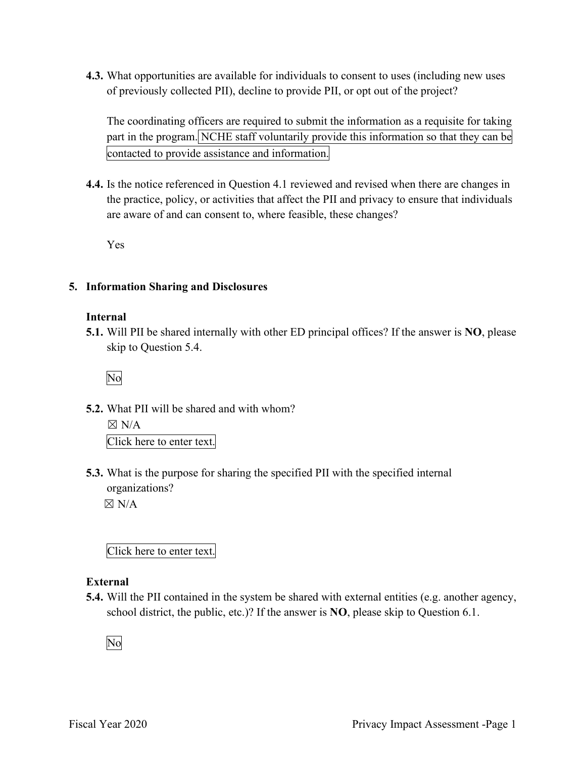**4.3.** What opportunities are available for individuals to consent to uses (including new uses of previously collected PII), decline to provide PII, or opt out of the project?

part in the program. NCHE staff voluntarily provide this information so that they can be contacted to provide assistance and information. The coordinating officers are required to submit the information as a requisite for taking

 are aware of and can consent to, where feasible, these changes? **4.4.** Is the notice referenced in Question 4.1 reviewed and revised when there are changes in the practice, policy, or activities that affect the PII and privacy to ensure that individuals

Yes

#### **5. Information Sharing and Disclosures**

#### **Internal**

 **5.1.** Will PII be shared internally with other ED principal offices? If the answer is **NO**, please skip to Question 5.4.

No

**5.2.** What PII will be shared and with whom?

 $\boxtimes$  N/A Click here to enter text.

 organizations? **5.3.** What is the purpose for sharing the specified PII with the specified internal

 $\boxtimes$  N/A

Click here to enter text.

#### **External**

**5.4.** Will the PII contained in the system be shared with external entities (e.g. another agency, school district, the public, etc.)? If the answer is **NO**, please skip to Question 6.1.

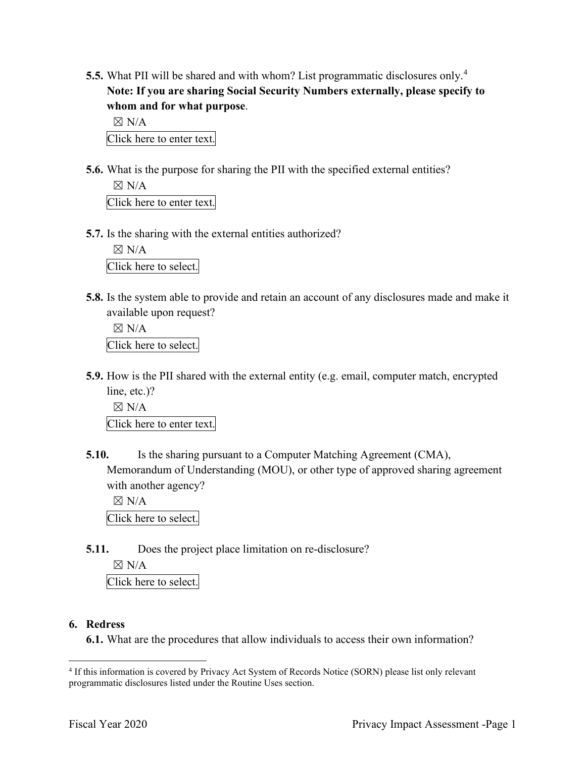**5.5.** What PII will be shared and with whom? List programmatic disclosures only.<sup>4</sup> **Note: If you are sharing Social Security Numbers externally, please specify to whom and for what purpose**.

 $\boxtimes$  N/A Click here to enter text.

 $\boxtimes$  N/A **5.6.** What is the purpose for sharing the PII with the specified external entities?

Click here to enter text.

**5.7.** Is the sharing with the external entities authorized?

 $\boxtimes$  N/A Click here to select.

**5.8.** Is the system able to provide and retain an account of any disclosures made and make it available upon request?

 $\boxtimes$  N/A Click here to select.

 **5.9.** How is the PII shared with the external entity (e.g. email, computer match, encrypted line, etc.)?

 $\boxtimes$  N/A Click here to enter text.

 with another agency? **5.10.** Is the sharing pursuant to a Computer Matching Agreement (CMA), Memorandum of Understanding (MOU), or other type of approved sharing agreement

 $\boxtimes$  N/A

Click here to select.

**5.11.** Does the project place limitation on re-disclosure?

 $\boxtimes$  N/A

Click here to select.

#### **6. Redress**

**6.1.** What are the procedures that allow individuals to access their own information?

<sup>&</sup>lt;sup>4</sup> If this information is covered by Privacy Act System of Records Notice (SORN) please list only relevant programmatic disclosures listed under the Routine Uses section.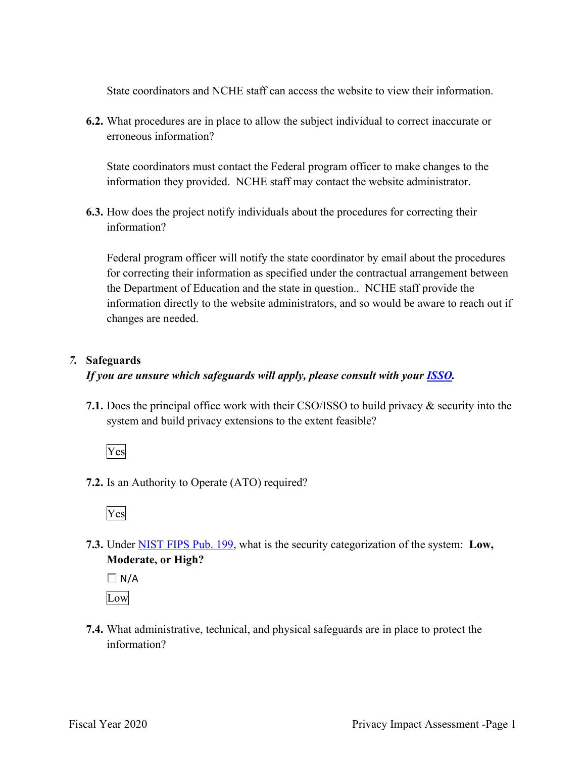State coordinators and NCHE staff can access the website to view their information.

**6.2.** What procedures are in place to allow the subject individual to correct inaccurate or erroneous information?

 State coordinators must contact the Federal program officer to make changes to the information they provided. NCHE staff may contact the website administrator.

**6.3.** How does the project notify individuals about the procedures for correcting their information?

 the Department of Education and the state in question.. NCHE staff provide the Federal program officer will notify the state coordinator by email about the procedures for correcting their information as specified under the contractual arrangement between information directly to the website administrators, and so would be aware to reach out if changes are needed.

#### *7.* **Safeguards**

#### *If you are unsure which safeguards will apply, please consult with your ISSO.*

 system and build privacy extensions to the extent feasible? **7.1.** Does the principal office work with their CSO/ISSO to build privacy & security into the

Yes

**7.2.** Is an Authority to Operate (ATO) required?



**7.3.** Under NIST FIPS Pub. 199, what is the security categorization of the system: **Low, Moderate, or High?** 

 $\Box$  N/A Low

**7.4.** What administrative, technical, and physical safeguards are in place to protect the information?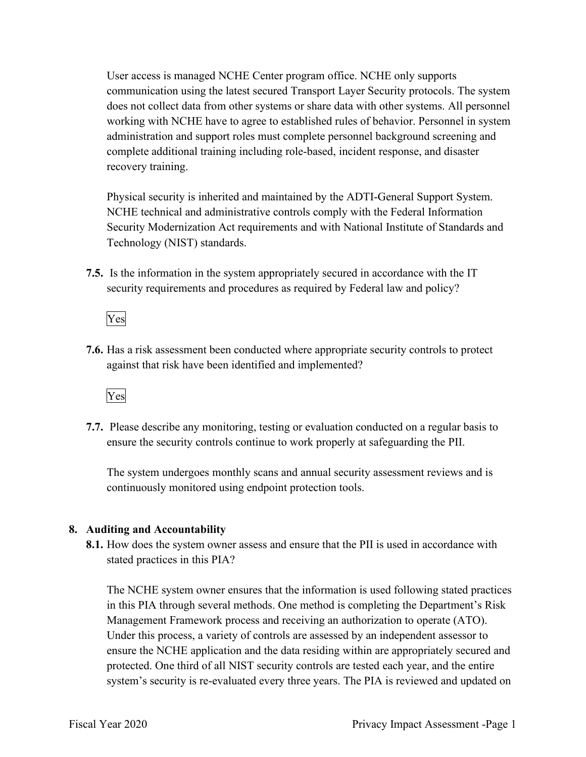User access is managed NCHE Center program office. NCHE only supports communication using the latest secured Transport Layer Security protocols. The system does not collect data from other systems or share data with other systems. All personnel working with NCHE have to agree to established rules of behavior. Personnel in system administration and support roles must complete personnel background screening and complete additional training including role-based, incident response, and disaster recovery training.

 Technology (NIST) standards. Physical security is inherited and maintained by the ADTI-General Support System. NCHE technical and administrative controls comply with the Federal Information Security Modernization Act requirements and with National Institute of Standards and

 **7.5.** Is the information in the system appropriately secured in accordance with the IT security requirements and procedures as required by Federal law and policy?



**7.6.** Has a risk assessment been conducted where appropriate security controls to protect against that risk have been identified and implemented?



 ensure the security controls continue to work properly at safeguarding the PII. **7.7.** Please describe any monitoring, testing or evaluation conducted on a regular basis to

 The system undergoes monthly scans and annual security assessment reviews and is continuously monitored using endpoint protection tools.

#### **8. Auditing and Accountability**

 **8.1.** How does the system owner assess and ensure that the PII is used in accordance with stated practices in this PIA?

 Management Framework process and receiving an authorization to operate (ATO). The NCHE system owner ensures that the information is used following stated practices in this PIA through several methods. One method is completing the Department's Risk Under this process, a variety of controls are assessed by an independent assessor to ensure the NCHE application and the data residing within are appropriately secured and protected. One third of all NIST security controls are tested each year, and the entire system's security is re-evaluated every three years. The PIA is reviewed and updated on